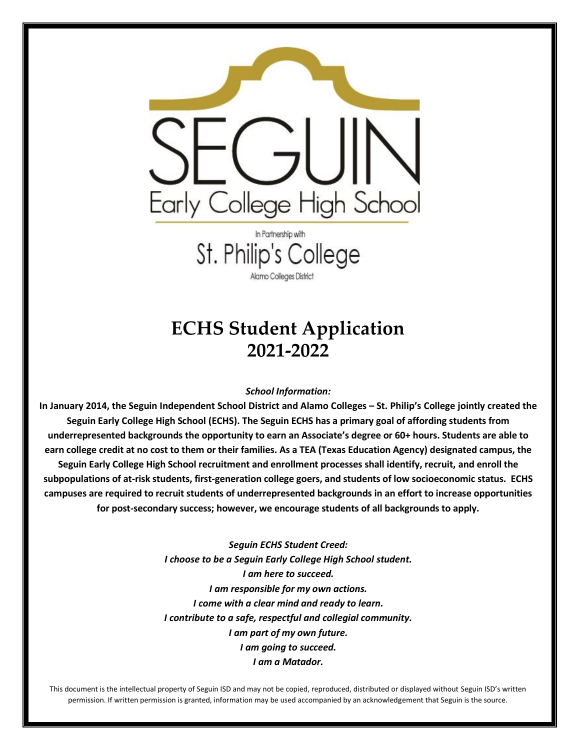

In Partnership with St. Philip's College Alamo Colleges District

### **ECHS Student Application 2021-2022**

#### *School Information:*

In January 2014, the Seguin Independent School District and Alamo Colleges - St. Philip's College jointly created the **Seguin Early College High School (ECHS). The Seguin ECHS has a primary goal of affording students from underrepresented backgrounds the opportunity to earn an Associate's degree or 60+ hours. Students are able to earn college credit at no cost to them or their families. As a TEA (Texas Education Agency) designated campus, the Seguin Early College High School recruitment and enrollment processes shall identify, recruit, and enroll the subpopulations of at-risk students, first-generation college goers, and students of low socioeconomic status. ECHS campuses are required to recruit students of underrepresented backgrounds in an effort to increase opportunities for post-secondary success; however, we encourage students of all backgrounds to apply.** 

> *Seguin ECHS Student Creed: I choose to be a Seguin Early College High School student. I am here to succeed. I am responsible for my own actions. I come with a clear mind and ready to learn. I contribute to a safe, respectful and collegial community. I am part of my own future. I am going to succeed. I am a Matador.*

This document is the intellectual property of Seguin ISD and may not be copied, reproduced, distributed or displayed without Seguin ISD's written permission. If written permission is granted, information may be used accompanied by an acknowledgement that Seguin is the source.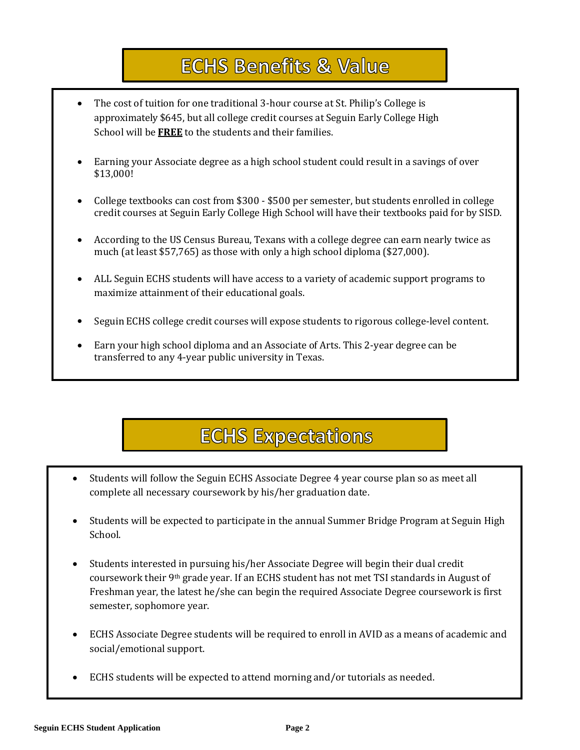# **ECHS Benefits & Value**

- The cost of tuition for one traditional 3-hour course at St. Philip's College is approximately \$645, but all college credit courses at Seguin Early College High School will be **FREE** to the students and their families.
- Earning your Associate degree as a high school student could result in a savings of over \$13,000!
- **•** College textbooks can cost from \$300 \$500 per semester, but students enrolled in college credit courses at Seguin Early College High School will have their textbooks paid for by SISD.
- According to the US Census Bureau, Texans with a college degree can earn nearly twice as 60 College much (at least \$57,765) as those with only a high school diploma (\$27,000).
- Credits ALL Seguin ECHS students will have access to a variety of academic support programs to maximize attainment of their educational goals.
- Seguin ECHS college credit courses will expose students to rigorous college-level content.
- Earn your high school diploma and an Associate of Arts. This 2-year degree can be transferred to any 4-year public university in Texas.

# **ECHS Expectations**

- Students will follow the Seguin ECHS Associate Degree 4 year course plan so as meet all complete all necessary coursework by his/her graduation date.
- Students will be expected to participate in the annual Summer Bridge Program at Seguin High School.
- Students interested in pursuing his/her Associate Degree will begin their dual credit coursework their 9th grade year. If an ECHS student has not met TSI standards in August of Freshman year, the latest he/she can begin the required Associate Degree coursework is first semester, sophomore year.
- ECHS Associate Degree students will be required to enroll in AVID as a means of academic and social/emotional support.
- ECHS students will be expected to attend morning and/or tutorials as needed.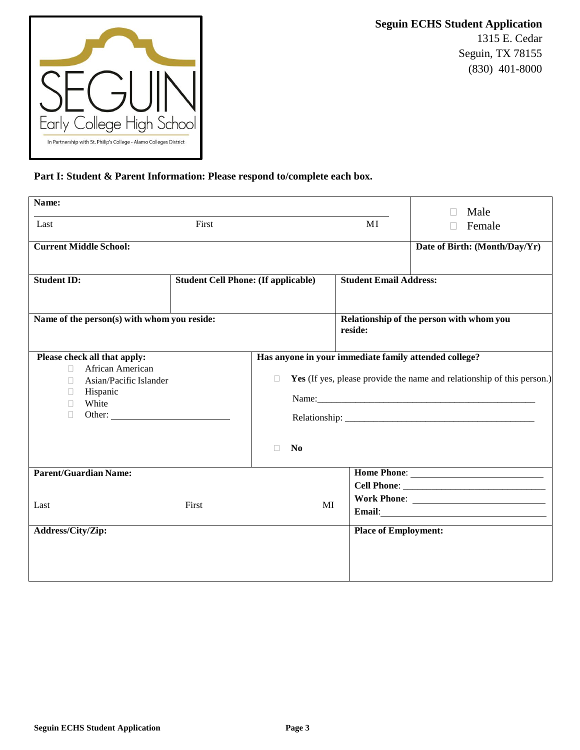

**Seguin ECHS Student Application** 1315 E. Cedar Seguin, TX 78155 (830) 401-8000

#### **Part I: Student & Parent Information: Please respond to/complete each box.**

| Name:                                                                                                                                 |                                            |                                                                                   |                               | Male                                                                                  |
|---------------------------------------------------------------------------------------------------------------------------------------|--------------------------------------------|-----------------------------------------------------------------------------------|-------------------------------|---------------------------------------------------------------------------------------|
| Last                                                                                                                                  | First                                      |                                                                                   |                               | Female                                                                                |
| <b>Current Middle School:</b>                                                                                                         |                                            |                                                                                   |                               | Date of Birth: (Month/Day/Yr)                                                         |
| <b>Student ID:</b>                                                                                                                    | <b>Student Cell Phone: (If applicable)</b> |                                                                                   | <b>Student Email Address:</b> |                                                                                       |
|                                                                                                                                       |                                            |                                                                                   |                               |                                                                                       |
| Name of the person(s) with whom you reside:                                                                                           |                                            |                                                                                   |                               | Relationship of the person with whom you                                              |
|                                                                                                                                       |                                            |                                                                                   | reside:                       |                                                                                       |
| Please check all that apply:<br>African American<br>$\Box$<br>Asian/Pacific Islander<br>П.<br>Hispanic<br>П.<br>White<br>П.<br>$\Box$ |                                            | Has anyone in your immediate family attended college?<br>П<br>N <sub>0</sub><br>П |                               | Yes (If yes, please provide the name and relationship of this person.)<br>Name: Name: |
| <b>Parent/Guardian Name:</b><br>Last                                                                                                  | First                                      | MI                                                                                |                               |                                                                                       |
| Address/City/Zip:                                                                                                                     |                                            |                                                                                   | <b>Place of Employment:</b>   |                                                                                       |